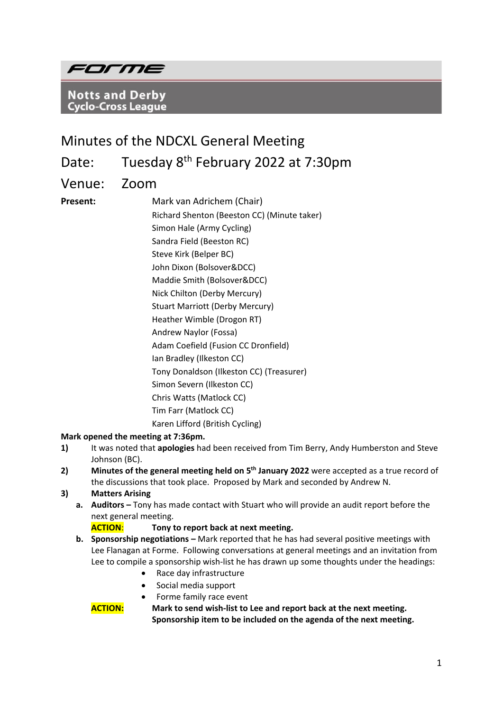

**Notts and Derby Cyclo-Cross League** 

# Minutes of the NDCXL General Meeting

Date: Tuesday 8<sup>th</sup> February 2022 at 7:30pm

Venue: Zoom

**Present:** Mark van Adrichem (Chair) Richard Shenton (Beeston CC) (Minute taker) Simon Hale (Army Cycling) Sandra Field (Beeston RC) Steve Kirk (Belper BC) John Dixon (Bolsover&DCC) Maddie Smith (Bolsover&DCC) Nick Chilton (Derby Mercury) Stuart Marriott (Derby Mercury) Heather Wimble (Drogon RT) Andrew Naylor (Fossa) Adam Coefield (Fusion CC Dronfield) Ian Bradley (Ilkeston CC) Tony Donaldson (Ilkeston CC) (Treasurer) Simon Severn (Ilkeston CC) Chris Watts (Matlock CC) Tim Farr (Matlock CC) Karen Lifford (British Cycling)

#### **Mark opened the meeting at 7:36pm.**

- **1)** It was noted that **apologies** had been received from Tim Berry, Andy Humberston and Steve Johnson (BC).
- 2) Minutes of the general meeting held on 5<sup>th</sup> January 2022 were accepted as a true record of the discussions that took place. Proposed by Mark and seconded by Andrew N.
- **3) Matters Arising** 
	- **a. Auditors –** Tony has made contact with Stuart who will provide an audit report before the next general meeting.

#### **ACTION**: **Tony to report back at next meeting.**

- **b. Sponsorship negotiations –** Mark reported that he has had several positive meetings with Lee Flanagan at Forme. Following conversations at general meetings and an invitation from Lee to compile a sponsorship wish-list he has drawn up some thoughts under the headings:
	- Race day infrastructure
	- Social media support
	- Forme family race event

**ACTION: Mark to send wish-list to Lee and report back at the next meeting. Sponsorship item to be included on the agenda of the next meeting.**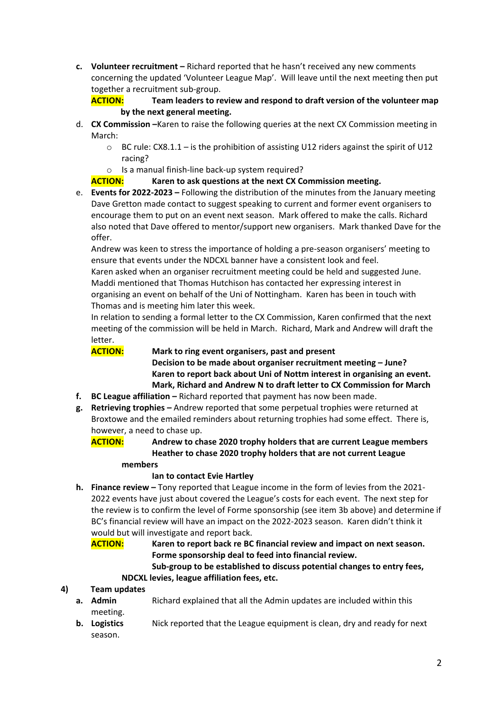**c. Volunteer recruitment –** Richard reported that he hasn't received any new comments concerning the updated 'Volunteer League Map'. Will leave until the next meeting then put together a recruitment sub-group.

**ACTION: Team leaders to review and respond to draft version of the volunteer map by the next general meeting.** 

- d. **CX Commission –**Karen to raise the following queries at the next CX Commission meeting in March:
	- $\circ$  BC rule: CX8.1.1 is the prohibition of assisting U12 riders against the spirit of U12 racing?
	- o Is a manual finish-line back-up system required?

# **ACTION: Karen to ask questions at the next CX Commission meeting.**

e. **Events for 2022-2023 –** Following the distribution of the minutes from the January meeting Dave Gretton made contact to suggest speaking to current and former event organisers to encourage them to put on an event next season. Mark offered to make the calls. Richard also noted that Dave offered to mentor/support new organisers. Mark thanked Dave for the offer.

Andrew was keen to stress the importance of holding a pre-season organisers' meeting to ensure that events under the NDCXL banner have a consistent look and feel.

Karen asked when an organiser recruitment meeting could be held and suggested June. Maddi mentioned that Thomas Hutchison has contacted her expressing interest in organising an event on behalf of the Uni of Nottingham. Karen has been in touch with Thomas and is meeting him later this week.

In relation to sending a formal letter to the CX Commission, Karen confirmed that the next meeting of the commission will be held in March. Richard, Mark and Andrew will draft the letter.

#### **ACTION: Mark to ring event organisers, past and present**

**Decision to be made about organiser recruitment meeting – June? Karen to report back about Uni of Nottm interest in organising an event. Mark, Richard and Andrew N to draft letter to CX Commission for March**

- **f. BC League affiliation –** Richard reported that payment has now been made.
- **g. Retrieving trophies –** Andrew reported that some perpetual trophies were returned at Broxtowe and the emailed reminders about returning trophies had some effect. There is, however, a need to chase up.

**ACTION: Andrew to chase 2020 trophy holders that are current League members Heather to chase 2020 trophy holders that are not current League** 

#### **members**

#### **Ian to contact Evie Hartley**

**h. Finance review –** Tony reported that League income in the form of levies from the 2021- 2022 events have just about covered the League's costs for each event. The next step for the review is to confirm the level of Forme sponsorship (see item 3b above) and determine if BC's financial review will have an impact on the 2022-2023 season. Karen didn't think it would but will investigate and report back.

**ACTION: Karen to report back re BC financial review and impact on next season. Forme sponsorship deal to feed into financial review.** 

**Sub-group to be established to discuss potential changes to entry fees, NDCXL levies, league affiliation fees, etc.** 

#### **4) Team updates**

- **a.** Admin **Richard explained that all the Admin updates are included within this** meeting.
- **b. Logistics** Nick reported that the League equipment is clean, dry and ready for next season.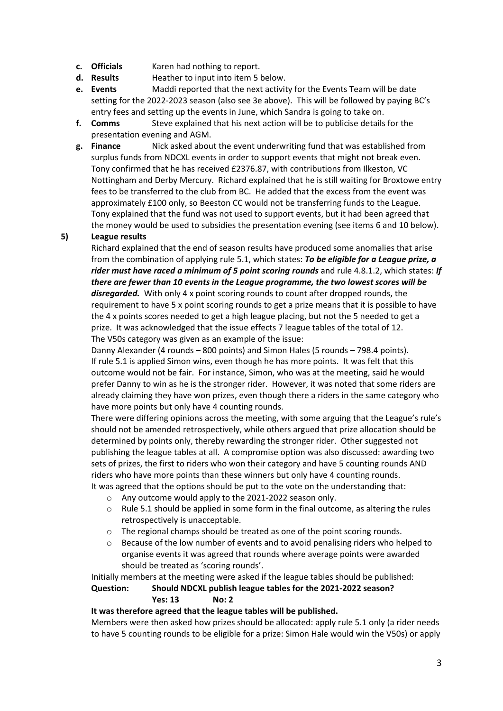- **c. Officials** Karen had nothing to report.
- **d. Results** Heather to input into item 5 below.
- **e. Events** Maddi reported that the next activity for the Events Team will be date setting for the 2022-2023 season (also see 3e above). This will be followed by paying BC's entry fees and setting up the events in June, which Sandra is going to take on.
- **f. Comms** Steve explained that his next action will be to publicise details for the presentation evening and AGM.
- **g. Finance** Nick asked about the event underwriting fund that was established from surplus funds from NDCXL events in order to support events that might not break even. Tony confirmed that he has received £2376.87, with contributions from Ilkeston, VC Nottingham and Derby Mercury. Richard explained that he is still waiting for Broxtowe entry fees to be transferred to the club from BC. He added that the excess from the event was approximately £100 only, so Beeston CC would not be transferring funds to the League. Tony explained that the fund was not used to support events, but it had been agreed that the money would be used to subsidies the presentation evening (see items 6 and 10 below).

#### **5) League results**

Richard explained that the end of season results have produced some anomalies that arise from the combination of applying rule 5.1, which states: *To be eligible for a League prize, a rider must have raced a minimum of 5 point scoring rounds* and rule 4.8.1.2, which states: *If there are fewer than 10 events in the League programme, the two lowest scores will be disregarded.* With only 4 x point scoring rounds to count after dropped rounds, the requirement to have 5 x point scoring rounds to get a prize means that it is possible to have the 4 x points scores needed to get a high league placing, but not the 5 needed to get a prize. It was acknowledged that the issue effects 7 league tables of the total of 12. The V50s category was given as an example of the issue:

Danny Alexander (4 rounds – 800 points) and Simon Hales (5 rounds – 798.4 points). If rule 5.1 is applied Simon wins, even though he has more points. It was felt that this outcome would not be fair. For instance, Simon, who was at the meeting, said he would prefer Danny to win as he is the stronger rider. However, it was noted that some riders are already claiming they have won prizes, even though there a riders in the same category who have more points but only have 4 counting rounds.

There were differing opinions across the meeting, with some arguing that the League's rule's should not be amended retrospectively, while others argued that prize allocation should be determined by points only, thereby rewarding the stronger rider. Other suggested not publishing the league tables at all. A compromise option was also discussed: awarding two sets of prizes, the first to riders who won their category and have 5 counting rounds AND riders who have more points than these winners but only have 4 counting rounds. It was agreed that the options should be put to the vote on the understanding that:

- o Any outcome would apply to the 2021-2022 season only.
- $\circ$  Rule 5.1 should be applied in some form in the final outcome, as altering the rules retrospectively is unacceptable.
- o The regional champs should be treated as one of the point scoring rounds.
- $\circ$  Because of the low number of events and to avoid penalising riders who helped to organise events it was agreed that rounds where average points were awarded should be treated as 'scoring rounds'.

Initially members at the meeting were asked if the league tables should be published: **Question: Should NDCXL publish league tables for the 2021-2022 season?** 

#### **Yes: 13 No: 2**

#### **It was therefore agreed that the league tables will be published.**

Members were then asked how prizes should be allocated: apply rule 5.1 only (a rider needs to have 5 counting rounds to be eligible for a prize: Simon Hale would win the V50s) or apply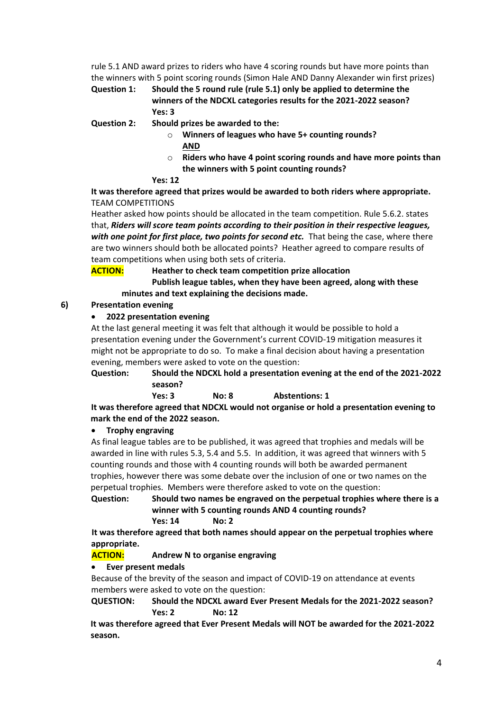rule 5.1 AND award prizes to riders who have 4 scoring rounds but have more points than the winners with 5 point scoring rounds (Simon Hale AND Danny Alexander win first prizes)

**Question 1: Should the 5 round rule (rule 5.1) only be applied to determine the winners of the NDCXL categories results for the 2021-2022 season? Yes: 3**

**Question 2: Should prizes be awarded to the:**

- o **Winners of leagues who have 5+ counting rounds? AND**
- o **Riders who have 4 point scoring rounds and have more points than the winners with 5 point counting rounds?**

#### **Yes: 12**

**It was therefore agreed that prizes would be awarded to both riders where appropriate.**  TEAM COMPETITIONS

Heather asked how points should be allocated in the team competition. Rule 5.6.2. states that, *Riders will score team points according to their position in their respective leagues, with one point for first place, two points for second etc.* That being the case, where there are two winners should both be allocated points? Heather agreed to compare results of team competitions when using both sets of criteria.

**ACTION: Heather to check team competition prize allocation**

**Publish league tables, when they have been agreed, along with these minutes and text explaining the decisions made.** 

#### **6) Presentation evening**

#### • **2022 presentation evening**

At the last general meeting it was felt that although it would be possible to hold a presentation evening under the Government's current COVID-19 mitigation measures it might not be appropriate to do so. To make a final decision about having a presentation evening, members were asked to vote on the question:

**Question: Should the NDCXL hold a presentation evening at the end of the 2021-2022 season?**

 **Yes: 3 No: 8 Abstentions: 1**

**It was therefore agreed that NDCXL would not organise or hold a presentation evening to mark the end of the 2022 season.** 

#### • **Trophy engraving**

As final league tables are to be published, it was agreed that trophies and medals will be awarded in line with rules 5.3, 5.4 and 5.5. In addition, it was agreed that winners with 5 counting rounds and those with 4 counting rounds will both be awarded permanent trophies, however there was some debate over the inclusion of one or two names on the perpetual trophies. Members were therefore asked to vote on the question:

**Question: Should two names be engraved on the perpetual trophies where there is a winner with 5 counting rounds AND 4 counting rounds?**

**Yes: 14 No: 2** 

**It was therefore agreed that both names should appear on the perpetual trophies where appropriate.** 

**ACTION: Andrew N to organise engraving**

#### • **Ever present medals**

Because of the brevity of the season and impact of COVID-19 on attendance at events members were asked to vote on the question:

**QUESTION: Should the NDCXL award Ever Present Medals for the 2021-2022 season? Yes: 2 No: 12**

**It was therefore agreed that Ever Present Medals will NOT be awarded for the 2021-2022 season.**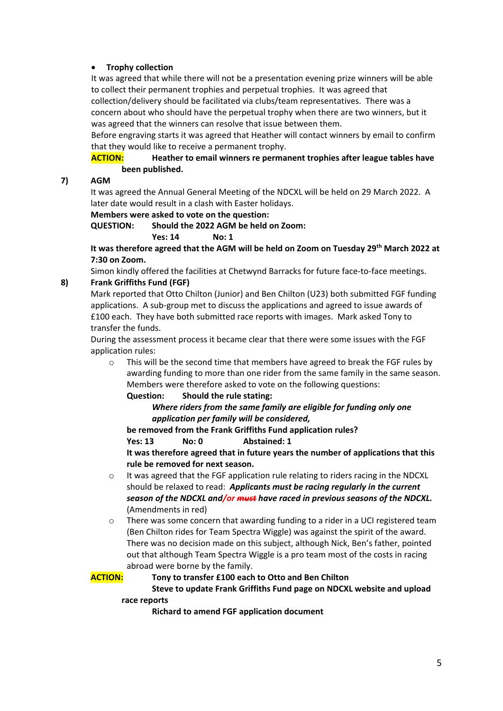#### • **Trophy collection**

It was agreed that while there will not be a presentation evening prize winners will be able to collect their permanent trophies and perpetual trophies. It was agreed that collection/delivery should be facilitated via clubs/team representatives. There was a concern about who should have the perpetual trophy when there are two winners, but it was agreed that the winners can resolve that issue between them.

Before engraving starts it was agreed that Heather will contact winners by email to confirm that they would like to receive a permanent trophy.

#### **ACTION: Heather to email winners re permanent trophies after league tables have been published.**

#### **7) AGM**

It was agreed the Annual General Meeting of the NDCXL will be held on 29 March 2022. A later date would result in a clash with Easter holidays.

**Members were asked to vote on the question:** 

**QUESTION: Should the 2022 AGM be held on Zoom:** 

**Yes: 14 No: 1**

**It was therefore agreed that the AGM will be held on Zoom on Tuesday 29th March 2022 at 7:30 on Zoom.** 

Simon kindly offered the facilities at Chetwynd Barracks for future face-to-face meetings.

# **8) Frank Griffiths Fund (FGF)**

Mark reported that Otto Chilton (Junior) and Ben Chilton (U23) both submitted FGF funding applications. A sub-group met to discuss the applications and agreed to issue awards of £100 each. They have both submitted race reports with images. Mark asked Tony to transfer the funds.

During the assessment process it became clear that there were some issues with the FGF application rules:

 $\circ$  This will be the second time that members have agreed to break the FGF rules by awarding funding to more than one rider from the same family in the same season. Members were therefore asked to vote on the following questions:

**Question: Should the rule stating:** 

*Where riders from the same family are eligible for funding only one application per family will be considered,*

**be removed from the Frank Griffiths Fund application rules?** 

**Yes: 13 No: 0 Abstained: 1**

**It was therefore agreed that in future years the number of applications that this rule be removed for next season.** 

- o It was agreed that the FGF application rule relating to riders racing in the NDCXL should be relaxed to read: *Applicants must be racing regularly in the current season of the NDCXL and/or must have raced in previous seasons of the NDCXL.*  (Amendments in red)
- $\circ$  There was some concern that awarding funding to a rider in a UCI registered team (Ben Chilton rides for Team Spectra Wiggle) was against the spirit of the award. There was no decision made on this subject, although Nick, Ben's father, pointed out that although Team Spectra Wiggle is a pro team most of the costs in racing abroad were borne by the family.

#### **ACTION: Tony to transfer £100 each to Otto and Ben Chilton**

#### **Steve to update Frank Griffiths Fund page on NDCXL website and upload race reports**

**Richard to amend FGF application document**